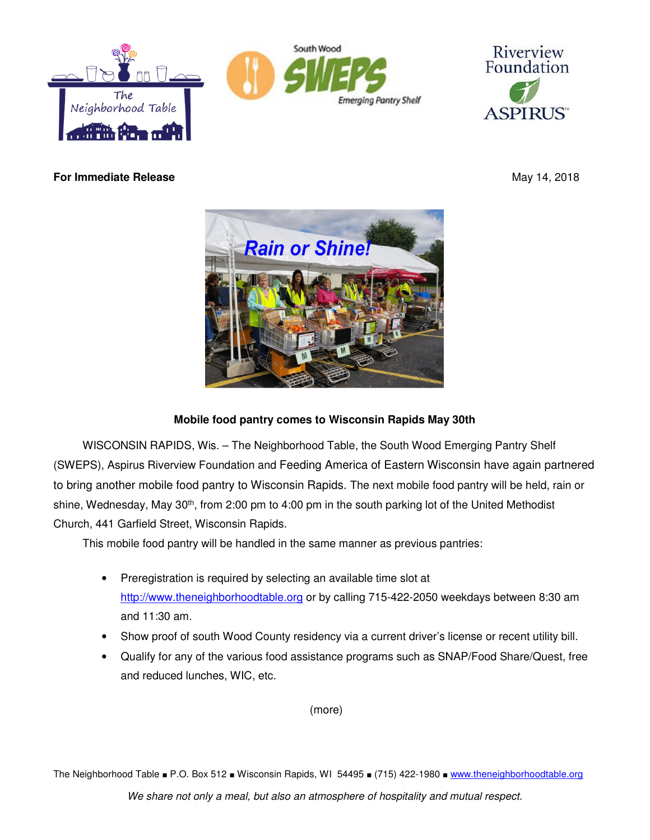





## **For Immediate Release**  May 14, 2018



# **Mobile food pantry comes to Wisconsin Rapids May 30th**

WISCONSIN RAPIDS, Wis. – The Neighborhood Table, the South Wood Emerging Pantry Shelf (SWEPS), Aspirus Riverview Foundation and Feeding America of Eastern Wisconsin have again partnered to bring another mobile food pantry to Wisconsin Rapids. The next mobile food pantry will be held, rain or shine, Wednesday, May 30<sup>th</sup>, from 2:00 pm to 4:00 pm in the south parking lot of the United Methodist Church, 441 Garfield Street, Wisconsin Rapids.

This mobile food pantry will be handled in the same manner as previous pantries:

- Preregistration is required by selecting an available time slot at http://www.theneighborhoodtable.org or by calling 715-422-2050 weekdays between 8:30 am and 11:30 am.
- Show proof of south Wood County residency via a current driver's license or recent utility bill.
- Qualify for any of the various food assistance programs such as SNAP/Food Share/Quest, free and reduced lunches, WIC, etc.

(more)

The Neighborhood Table ■ P.O. Box 512 ■ Wisconsin Rapids, WI 54495 ■ (715) 422-1980 ■ www.theneighborhoodtable.org

We share not only a meal, but also an atmosphere of hospitality and mutual respect.